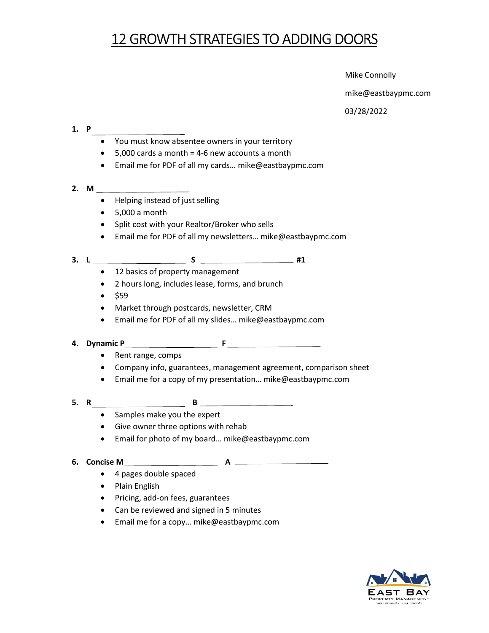## 12 GROWTH STRATEGIES TO ADDING DOORS

**Example 2** Mike Connolly

mike@eastbaypmc.com

03/28/2022

#### 1. P

- You must know absentee owners in your territory
- You must know absentee owners in your territory<br>● 5,000 cards a month = 4-6 new accounts a month
- Email me for PDF of all my cards… mike@eastbaypmc.com
- 2. M
	- Helping instead of just selling
	- $\bullet$  5,000 a month
	- Split cost with your Realtor/Broker who sells
	- Helping instead of just selling<br>● 5,000 a month<br>● Split cost with your Realtor/Broker who sells<br>● Email me for PDF of all my newsletters… mike@eastbaypmc.com

## 3. L S S #1

- 12 basics of property management
- 2 hours long, includes lease, forms, and brunch
- $•$  \$59
- Market through postcards, newsletter, CRM
- Market through postcards, newsletter, CRM<br>● Email me for PDF of all my slides... mike@eastbaypmc.com

#### 4. Dynamic P F

- Rent range, comps
- Company info, guarantees, management agreement, comparison sheet Rent range, comps<br>Company info, guarantees, management agreement, comparison sheet<br>Email me for a copy of my presentation… mike@eastbaypmc.com
- Email me for a copy of my presentation... mike@eastbaypmc.com
- 5. R B
	- Samples make you the expert
	- Give owner three options with rehab
	- **Samples make you the expert<br>• Give owner three options with rehab<br>• Email for photo of my board... mike@eastbaypmc.com**
- 6. Concise M A

- 4 pages double spaced
- Plain English
- Pricing, add-on fees, guarantees
- Pricing, add-on fees, guarantees<br>• Can be reviewed and signed in 5 minutes
- Email me for a copy… mike@eastbaypmc.com